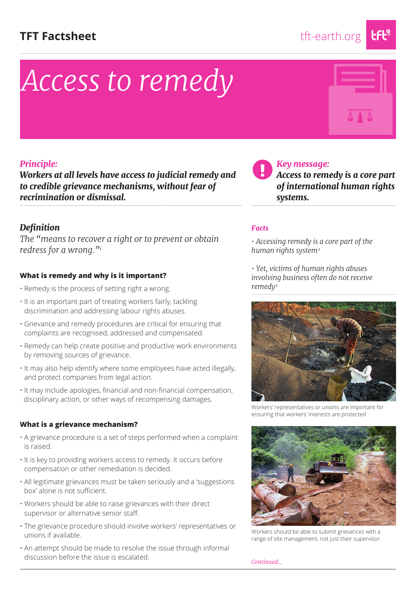### TFT Factsheet tft-earth.org

# *Access to remedy*



### *Principle:*

*Workers at all levels have access to judicial remedy and to credible grievance mechanisms, without fear of recrimination or dismissal.*

### *Definition*

*The "means to recover a right or to prevent or obtain redress for a wrong."1*

### **What is remedy and why is it important?**

- Remedy is the process of setting right a wrong.
- It is an important part of treating workers fairly, tackling discrimination and addressing labour rights abuses.
- Grievance and remedy procedures are critical for ensuring that complaints are recognised, addressed and compensated.
- Remedy can help create positive and productive work environments by removing sources of grievance.
- It may also help identify where some employees have acted illegally, and protect companies from legal action.
- It may include apologies, financial and non-financial compensation, disciplinary action, or other ways of recompensing damages.

### **What is a grievance mechanism?**

- A grievance procedure is a set of steps performed when a complaint is raised.
- It is key to providing workers access to remedy. It occurs before compensation or other remediation is decided.
- All legitimate grievances must be taken seriously and a 'suggestions box' alone is not sufficient.
- Workers should be able to raise grievances with their direct supervisor or alternative senior staff.
- The grievance procedure should involve workers' representatives or unions if available.
- An attempt should be made to resolve the issue through informal discussion before the issue is escalated.

 *Key message:* 

*Access to remedy is a core part of international human rights systems.*

### *Facts*

*• Accessing remedy is a core part of the human rights system2*

*• Yet, victims of human rights abuses involving business often do not receive remedy2*



Workers' representatives or unions are important for ensuring that workers' interests are protected



Workers should be able to submit grievances with a range of site management, not just their supervisor

*Continued...*